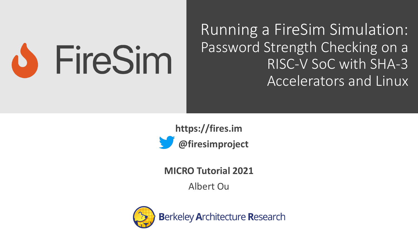

Running a FireSim Simulation: Password Strength Checking on a RISC-V SoC with SHA-3 Accelerators and Linux

**https://fires.im @firesimproject**

**MICRO Tutorial 2021**

Albert Ou

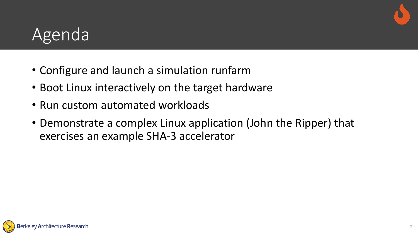

#### Agenda

- Configure and launch a simulation runfarm
- Boot Linux interactively on the target hardware
- Run custom automated workloads
- Demonstrate a complex Linux application (John the Ripper) that exercises an example SHA-3 accelerator

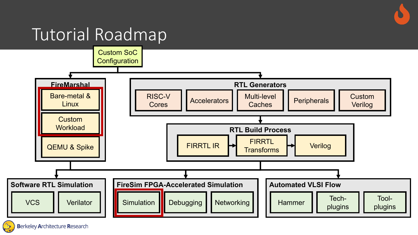## Tutorial Roadmap

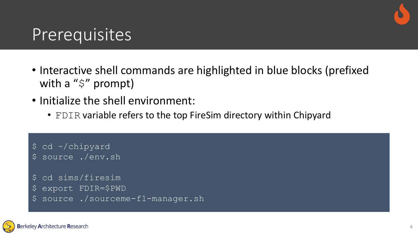

#### Prerequisites

- Interactive shell commands are highlighted in blue blocks (prefixed with a "\$" prompt)
- Initialize the shell environment:
	- FDIR variable refers to the top FireSim directory within Chipyard

\$ cd ~/chipyard \$ source ./env.sh

```
$ cd sims/firesim
```
- \$ export FDIR=\$PWD
- \$ source ./sourceme-f1-manager.sh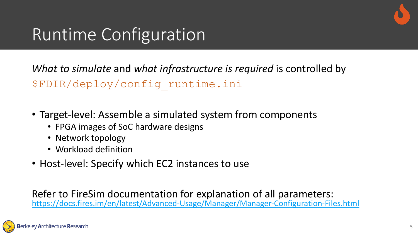# Runtime Configuration

*What to simulate* and *what infrastructure is require* \$FDIR/deploy/config\_runtime.ini

- Target-level: Assemble a simulated system from component
	- FPGA images of SoC hardware designs
	- Network topology
	- Workload definition
- Host-level: Specify which EC2 instances to use

Refer to FireSim documentation for explanation of a https://docs.fires.im/en/latest/Advanced-Usage/Manager/Manage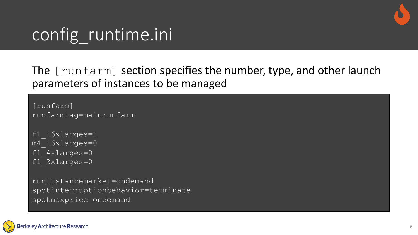

#### The [runfarm] section specifies the number, type, and other launch parameters of instances to be managed

```
[runfarm]
runfarmtag=mainrunfarm
```

```
f1_16xlarges=1
m4_16xlarges=0
f1_4xlarges=0
f1<sup>-2xlarges=0</sup>
```
runinstancemarket=ondemand spotinterruptionbehavior=terminate spotmaxprice=ondemand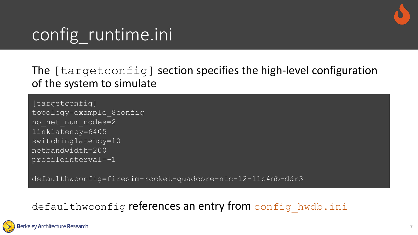

#### The [targetconfig] section specifies the high-level configuration of the system to simulate

[targetconfig] topology=example\_8config no\_net\_num\_nodes=2 linklatency=6405 switchinglatency=10 netbandwidth=200 profileinterval=-1

defaulthwconfig=firesim-rocket-quadcore-nic-l2-llc4mb-ddr3

#### defaulthwconfig references an entry from config hwdb.ini

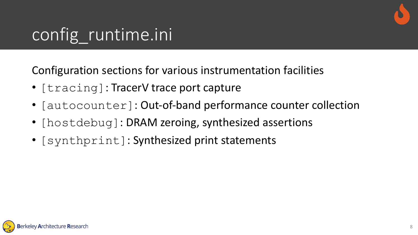

Configuration sections for various instrumentation facilities

- [tracing]: TracerV trace port capture
- [autocounter]: Out-of-band performance counter collection
- [hostdebug]: DRAM zeroing, synthesized assertions
- [synthprint]: Synthesized print statements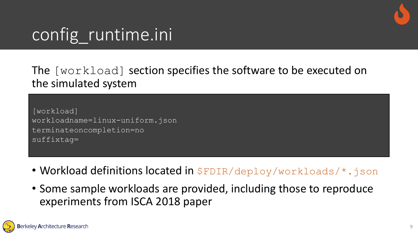

#### The [workload] section specifies the software to be executed on the simulated system

[workload] workloadname=linux-uniform.json terminateoncompletion=no suffixtag=

- Workload definitions located in  $\frac{1}{2}$  FDIR/deploy/workloads/\*.json
- Some sample workloads are provided, including those to reproduce experiments from ISCA 2018 paper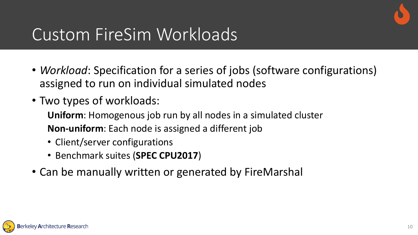

### Custom FireSim Workloads

- *Workload*: Specification for a series of jobs (software configurations) assigned to run on individual simulated nodes
- Two types of workloads:

**Uniform**: Homogenous job run by all nodes in a simulated cluster **Non-uniform**: Each node is assigned a different job

- Client/server configurations
- Benchmark suites (**SPEC CPU2017**)
- Can be manually written or generated by FireMarshal

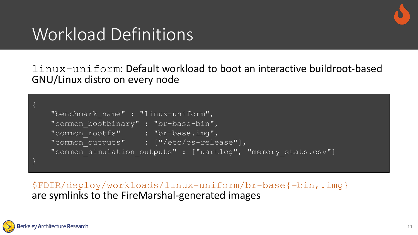

## Workload Definitions

linux-uniform: Default workload to boot an interactive buildroot-based GNU/Linux distro on every node

```
"benchmark name" : "linux-uniform",
   "common bootbinary" : "br-base-bin",
   "common rootfs" : "br-base.img",
   "common outputs" : ["/etc/os-release"],
   "common_simulation_outputs" : ["uartlog", "memory_stats.csv"]
}
```
\$FDIR/deploy/workloads/linux-uniform/br-base{-bin,.img} are symlinks to the FireMarshal-generated images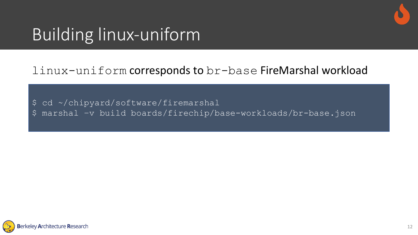

# Building linux-uniform

#### linux-uniform corresponds to br-base FireMarshal workload

- \$ cd ~/chipyard/software/firemarshal
- \$ marshal –v build boards/firechip/base-workloads/br-base.json

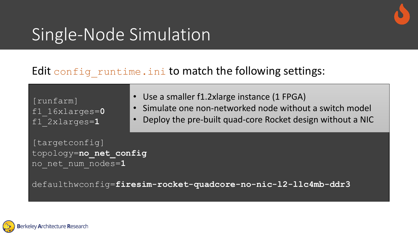

## Single-Node Simulation

#### Edit config\_runtime.ini to match the following settings:

| [runfarm]<br>f1 $16xlarges = 0$<br>f1 $2xlarges=1$             | • Use a smaller f1.2xlarge instance (1 FPGA)<br>· Simulate one non-networked node without a switch model<br>• Deploy the pre-built quad-core Rocket design without a NIC |  |
|----------------------------------------------------------------|--------------------------------------------------------------------------------------------------------------------------------------------------------------------------|--|
| [targetconfig]<br>topology=no net config<br>no net num nodes=1 |                                                                                                                                                                          |  |
|                                                                | defaulthwconfig=firesim-rocket-quadcore-no-nic-12-11c4mb-ddr3                                                                                                            |  |

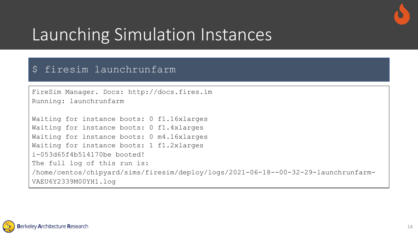

## Launching Simulation Instances

#### \$ firesim launchrunfarm

```
FireSim Manager. Docs: http://docs.fires.im
Running: launchrunfarm
```

```
Waiting for instance boots: 0 f1.16xlarges
Waiting for instance boots: 0 f1.4xlarges
Waiting for instance boots: 0 m4.16xlarges
Waiting for instance boots: 1 f1.2xlarges
i-053d65f4b514170be booted!
The full log of this run is:
/home/centos/chipyard/sims/firesim/deploy/logs/2021-06-18--00-32-29-launchrunfarm-
VAEU6Y2339M00YH1.log
```
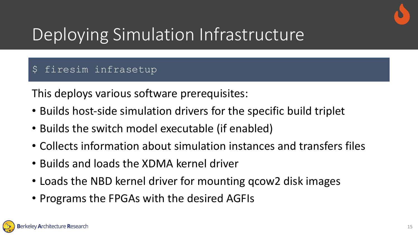

# Deploying Simulation Infrastructure

#### \$ firesim infrasetup

This deploys various software prerequisites:

- Builds host-side simulation drivers for the specific build triplet
- Builds the switch model executable (if enabled)
- Collects information about simulation instances and transfers files
- Builds and loads the XDMA kernel driver
- Loads the NBD kernel driver for mounting qcow2 disk images
- Programs the FPGAs with the desired AGFIs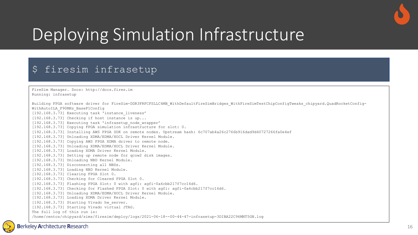

# Deploying Simulation Infrastructure

#### \$ firesim infrasetup

FireSim Manager. Docs: http://docs.fires.im Running: infrasetup

Building FPGA software driver for FireSim-DDR3FRFCFSLLC4MB\_WithDefaultFireSimBridges\_WithFireSimTestChipConfigTweaks\_chipyard.QuadRocketConfig-WithAutoILA\_F90MHz\_BaseF1Config

[192.168.3.73] Executing task 'instance\_liveness'

 $[192.168.3.73]$  Checking if host instance is up...

[192.168.3.73] Executing task 'infrasetup node wrapper'

[192.168.3.73] Copying FPGA simulation infrastructure for slot: 0.

[192.168.3.73] Installing AWS FPGA SDK on remote nodes. Upstream hash: 6c707ab4a26c2766b916dad9d40727266fa0e4ef

[192.168.3.73] Unloading XDMA/EDMA/XOCL Driver Kernel Module.

[192.168.3.73] Copying AWS FPGA XDMA driver to remote node.

[192.168.3.73] Unloading XDMA/EDMA/XOCL Driver Kernel Module.

[192.168.3.73] Loading XDMA Driver Kernel Module.

[192.168.3.73] Setting up remote node for qcow2 disk images.

[192.168.3.73] Unloading NBD Kernel Module.

[192.168.3.73] Disconnecting all NBDs.

[192.168.3.73] Loading NBD Kernel Module.

[192.168.3.73] Clearing FPGA Slot 0.

[192.168.3.73] Checking for Cleared FPGA Slot 0.

[192.168.3.73] Flashing FPGA Slot: 0 with agfi: agfi-0a6cbb217f7cc16d6.

[192.168.3.73] Checking for Flashed FPGA Slot: 0 with agfi: agfi-0a6cbb217f7cc16d6.

[192.168.3.73] Unloading XDMA/EDMA/XOCL Driver Kernel Module.

[192.168.3.73] Loading XDMA Driver Kernel Module.

[192.168.3.73] Starting Vivado hw server.

[192.168.3.73] Starting Vivado virtual JTAG.

The full log of this run is:

/home/centos/chipyard/sims/firesim/deploy/logs/2021-06-18--00-44-47-infrasetup-3DIBA22C96MNT5GN.log

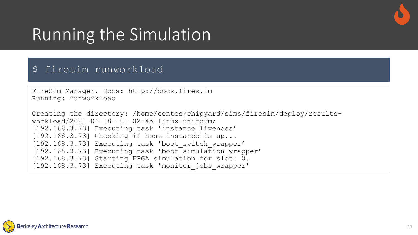

#### Running the Simulation

#### \$ firesim runworkload

```
FireSim Manager. Docs: http://docs.fires.im
Running: runworkload
```

```
Creating the directory: /home/centos/chipyard/sims/firesim/deploy/results-
workload/2021-06-18--01-02-45-linux-uniform/
[192.168.3.73] Executing task 'instance_liveness'
[192.168.3.73] Checking if host instance is up...
[192.168.3.73] Executing task 'boot switch wrapper'
[192.168.3.73] Executing task 'boot simulation wrapper'
[192.168.3.73] Starting FPGA simulation for slot: 0.
[192.168.3.73] Executing task 'monitor_jobs_wrapper'
```
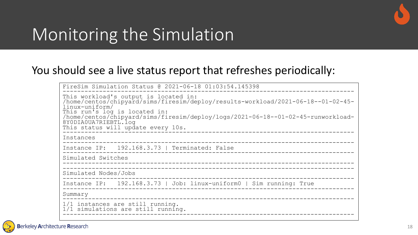

## Monitoring the Simulation

#### You should see a live status report that refreshes periodically:

| FireSim Simulation Status @ 2021-06-18 01:03:54.145398                                                                                                                                                                                                                                                                         |  |  |  |
|--------------------------------------------------------------------------------------------------------------------------------------------------------------------------------------------------------------------------------------------------------------------------------------------------------------------------------|--|--|--|
| This workload's output is located in:<br>/home/centos/chipyard/sims/firesim/deploy/results-workload/2021-06-18--01-02-45-<br>linux-uniform/<br>This run's log is located in:<br>/home/centos/chipyard/sims/firesim/deploy/logs/2021-06-18--01-02-45-runworkload-<br>8Y0DIA0UA7RIEBTL.log<br>This status will update every 10s. |  |  |  |
| Instances                                                                                                                                                                                                                                                                                                                      |  |  |  |
| Instance IP: 192.168.3.73   Terminated: False                                                                                                                                                                                                                                                                                  |  |  |  |
| Simulated Switches                                                                                                                                                                                                                                                                                                             |  |  |  |
| Simulated Nodes/Jobs                                                                                                                                                                                                                                                                                                           |  |  |  |
| Instance IP: 192.168.3.73   Job: linux-uniform0   Sim running: True                                                                                                                                                                                                                                                            |  |  |  |
| Summary                                                                                                                                                                                                                                                                                                                        |  |  |  |
| 1/1 instances are still running.<br>1/1 simulations are still running.                                                                                                                                                                                                                                                         |  |  |  |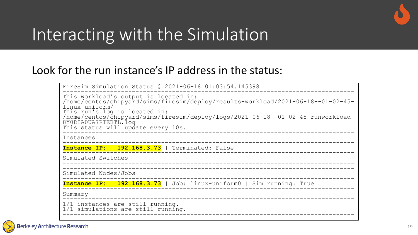

#### Interacting with the Simulation

#### Look for the run instance's IP address in the status:

| FireSim Simulation Status @ 2021-06-18 01:03:54.145398                                                                                                                                                                                                                                                                         |  |  |
|--------------------------------------------------------------------------------------------------------------------------------------------------------------------------------------------------------------------------------------------------------------------------------------------------------------------------------|--|--|
| This workload's output is located in:<br>/home/centos/chipyard/sims/firesim/deploy/results-workload/2021-06-18--01-02-45-<br>linux-uniform/<br>This run's log is located in:<br>/home/centos/chipyard/sims/firesim/deploy/logs/2021-06-18--01-02-45-runworkload-<br>8Y0DIA0UA7RIEBTL.log<br>This status will update every 10s. |  |  |
| Instances                                                                                                                                                                                                                                                                                                                      |  |  |
| Instance IP: 192.168.3.73   Terminated: False                                                                                                                                                                                                                                                                                  |  |  |
| Simulated Switches                                                                                                                                                                                                                                                                                                             |  |  |
| Simulated Nodes/Jobs                                                                                                                                                                                                                                                                                                           |  |  |
| Instance IP: 192.168.3.73   Job: linux-uniform0   Sim running: True                                                                                                                                                                                                                                                            |  |  |
| Summary<br>______________________                                                                                                                                                                                                                                                                                              |  |  |
| 1/1 instances are still running.<br>1/1 simulations are still running.                                                                                                                                                                                                                                                         |  |  |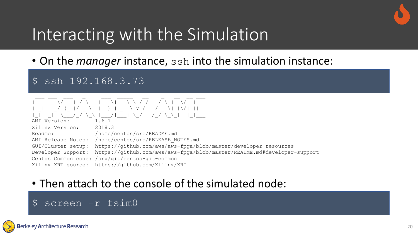

## Interacting with the Simulation

• On the *manager* instance, ssh into the simulation instance:

\$ ssh 192.168.3.73



#### • Then attach to the console of the simulated node:

#### \$ screen –r fsim0

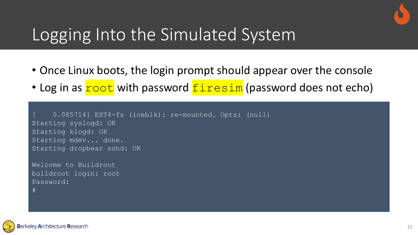## Logging Into the Simulated System

- Once Linux boots, the login prompt should appear over the console
- Log in as **root** with password  $f$  in the sim (password does not echo)

```
[ 0.085714] EXT4-fs (iceblk): re-mounted. Opts: (null)
Starting syslogd: OK
Starting klogd: OK
Starting mdev... done.
Starting dropbear sshd: OK
```
Welcome to Buildroot buildroot login: root Password:



#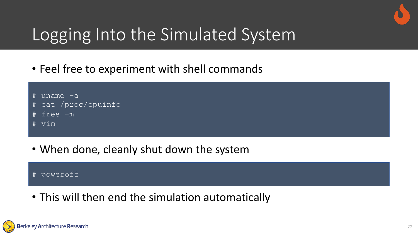

## Logging Into the Simulated System

• Feel free to experiment with shell commands



• When done, cleanly shut down the system

# poweroff

• This will then end the simulation automatically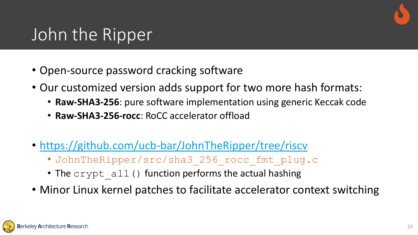# [John the Ripper](https://github.com/ucb-bar/JohnTheRipper/blob/riscv/src/sha3_256_rocc_fmt_plug.c)

- Open-source password cracking software
- Our customized version adds support for two
	- Raw-SHA3-256: pure software implementation us
	- **Raw-SHA3-256-rocc**: RoCC accelerator offload
- https://github.com/ucb-bar/JohnTheRipper/tr
	- · JohnTheRipper/src/sha3 256 rocc fm
	- The  $\text{crypt}$  all() function performs the actual
- Minor Linux kernel patches to facilitate accele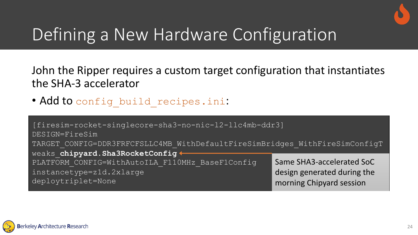

# Defining a New Hardware Configuration

John the Ripper requires a custom target configuration that instantiates the SHA-3 accelerator

• Add to config build recipes.ini:

| [firesim-rocket-singlecore-sha3-no-nic-12-llc4mb-ddr3]<br>DESIGN=FireSim    |                             |  |
|-----------------------------------------------------------------------------|-----------------------------|--|
| TARGET CONFIG=DDR3FRFCFSLLC4MB WithDefaultFireSimBridges WithFireSimConfigT |                             |  |
| weaks chipyard. Sha3RocketConfig +                                          |                             |  |
| PLATFORM CONFIG=WithAutoILA F110MHz BaseF1Config                            | Same SHA3-accelerated SoC   |  |
| instancetype=z1d.2xlarge                                                    | design generated during the |  |
| deploytriplet=None                                                          | morning Chipyard session    |  |

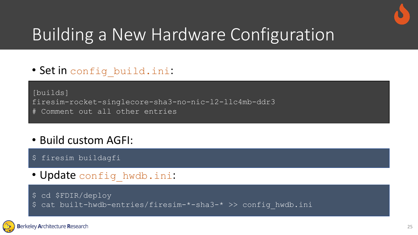

# Building a New Hardware Configuration

• Set in config build.ini:

[builds] firesim-rocket-singlecore-sha3-no-nic-l2-llc4mb-ddr3 # Comment out all other entries

- Build custom AGFI:
- \$ firesim buildagfi
- Update config hwdb.ini:
- \$ cd \$FDIR/deploy
- \$ cat built-hwdb-entries/firesim-\*-sha3-\* >> config\_hwdb.ini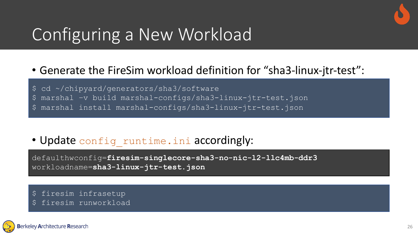# Configuring a New Workload

#### • Generate the FireSim workload definition for "sha3-linux-jtr-test":

\$ cd ~/chipyard/generators/sha3/software

- \$ marshal –v build marshal-configs/sha3-linux-jtr-test.json
- \$ marshal install marshal-configs/sha3-linux-jtr-test.json

#### • Update config runtime.ini accordingly:

defaulthwconfig=**firesim-singlecore-sha3-no-nic-l2-llc4mb-ddr3** workloadname=**sha3-linux-jtr-test.json**

- \$ firesim infrasetup
- firesim runworkload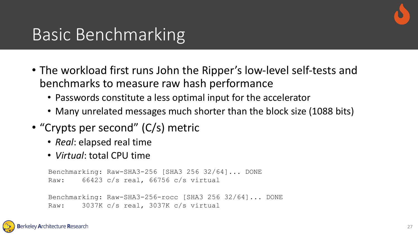

#### Basic Benchmarking

- The workload first runs John the Ripper's low-level self-tests and benchmarks to measure raw hash performance
	- Passwords constitute a less optimal input for the accelerator
	- Many unrelated messages much shorter than the block size (1088 bits)
- "Crypts per second" (C/s) metric
	- *Real*: elapsed real time
	- *Virtual*: total CPU time

```
Benchmarking: Raw-SHA3-256 [SHA3 256 32/64]... DONE
Raw: 66423 c/s real, 66756 c/s virtual
```
Benchmarking: Raw-SHA3-256-rocc [SHA3 256 32/64]... DONE Raw: 3037K c/s real, 3037K c/s virtual

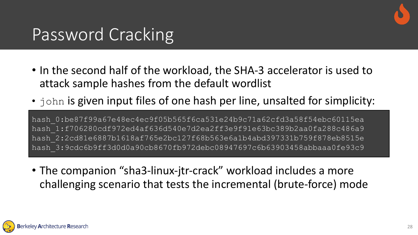

#### Password Cracking

- In the second half of the workload, the SHA-3 accelerator is used to attack sample hashes from the default wordlist
- john is given input files of one hash per line, unsalted for simplicity:

hash\_0:be87f99a67e48ec4ec9f05b565f6ca531e24b9c71a62cfd3a58f54ebc60115ea hash\_1:f706280cdf972ed4af636d540e7d2ea2ff3e9f91e63bc389b2aa0fa288c486a9 hash\_2:2cd81e6887b1618af765e2bc127f68b563e6a1b4abd397331b759f878eb8515e hash\_3:9cdc6b9ff3d0d0a90cb8670fb972debc08947697c6b63903458abbaaa0fe93c9

• The companion "sha3-linux-jtr-crack" workload includes a more challenging scenario that tests the incremental (brute-force) mode

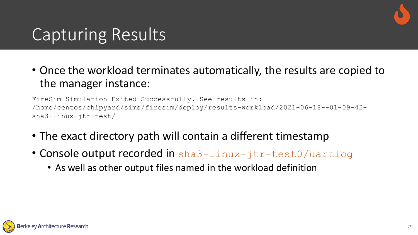

#### Capturing Results

• Once the workload terminates automatically, the results are copied to the manager instance:

FireSim Simulation Exited Successfully. See results in: /home/centos/chipyard/sims/firesim/deploy/results-workload/2021-06-18--01-09-42 sha3-linux-jtr-test/

- The exact directory path will contain a different timestamp
- Console output recorded in sha3-linux-jtr-test0/uartlog
	- As well as other output files named in the workload definition

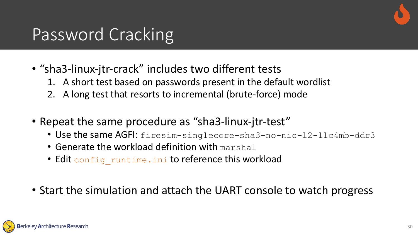

#### Password Cracking

- "sha3-linux-jtr-crack" includes two different tests
	- 1. A short test based on passwords present in the default wordlist
	- 2. A long test that resorts to incremental (brute-force) mode
- Repeat the same procedure as "sha3-linux-jtr-test"
	- Use the same AGFI: firesim-singlecore-sha3-no-nic-12-11c4mb-ddr3
	- Generate the workload definition with marshal
	- Edit config runtime.ini to reference this workload
- Start the simulation and attach the UART console to watch progress

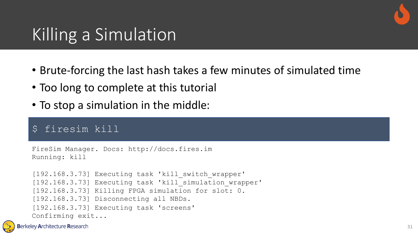

#### Killing a Simulation

- Brute-forcing the last hash takes a few minutes of simulated time
- Too long to complete at this tutorial
- To stop a simulation in the middle:

#### \$ firesim kill

```
FireSim Manager. Docs: http://docs.fires.im
Running: kill
[192.168.3.73] Executing task 'kill switch wrapper'
[192.168.3.73] Executing task 'kill simulation wrapper'
[192.168.3.73] Killing FPGA simulation for slot: 0.
[192.168.3.73] Disconnecting all NBDs.
[192.168.3.73] Executing task 'screens'
Confirming exit...
```
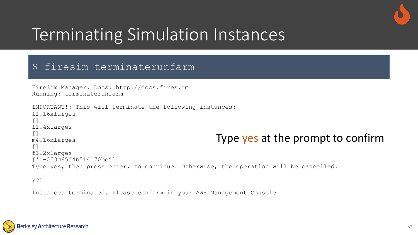

## Terminating Simulation Instances

#### \$ firesim terminaterunfarm

```
FireSim Manager. Docs: http://docs.fires.im
Running: terminaterunfarm
IMPORTANT!: This will terminate the following instances:
f1.16xlarges
[]
f1.4xlarges
\lceilm4.16xlarges
[]
f1.2xlarges
['i-053d65f4b514170be']
Type yes, then press enter, to continue. Otherwise, the operation will be cancelled.
                                                  Type yes at the prompt to confirm
```
yes

Instances terminated. Please confirm in your AWS Management Console.